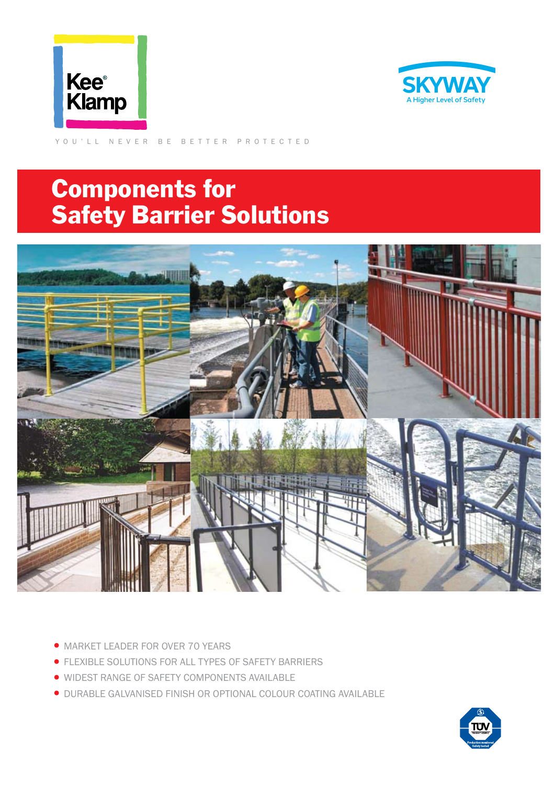



YOU'LL NEVER BE BETTER PROTECTED

## Components for Safety Barrier Solutions



- MARKET LEADER FOR OVER 70 YEARS
- •FLEXIBLE SOLUTIONS FOR ALL TYPES OF SAFETY BARRIERS
- WIDEST RANGE OF SAFETY COMPONENTS AVAILABLE
- •DURABLE GALVANISED FINISH OR OPTIONAL COLOUR COATING AVAILABLE